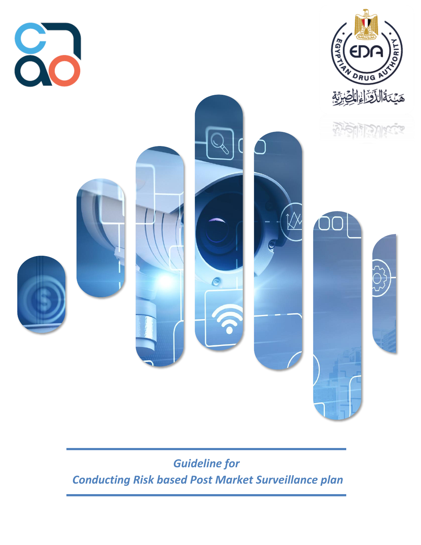

*Guideline for Conducting Risk based Post Market Surveillance plan*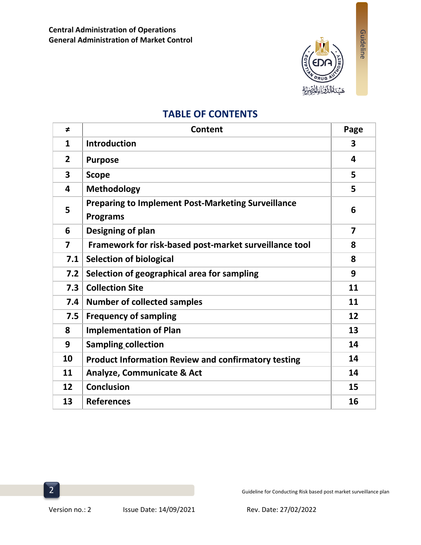

Guideline

# **TABLE OF CONTENTS**

| ≠                       | <b>Content</b>                                                               | Page                    |
|-------------------------|------------------------------------------------------------------------------|-------------------------|
| 1                       | <b>Introduction</b>                                                          | $\overline{\mathbf{3}}$ |
| $\overline{2}$          | <b>Purpose</b>                                                               | 4                       |
| 3                       | <b>Scope</b>                                                                 | 5                       |
| 4                       | <b>Methodology</b>                                                           | 5                       |
| 5                       | <b>Preparing to Implement Post-Marketing Surveillance</b><br><b>Programs</b> | 6                       |
| 6                       | Designing of plan                                                            | $\overline{7}$          |
| $\overline{\mathbf{z}}$ | Framework for risk-based post-market surveillance tool                       | 8                       |
| 7.1                     | <b>Selection of biological</b>                                               | 8                       |
| 7.2                     | Selection of geographical area for sampling                                  | 9                       |
| 7.3                     | <b>Collection Site</b>                                                       | 11                      |
| 7.4                     | <b>Number of collected samples</b>                                           | 11                      |
| 7.5                     | <b>Frequency of sampling</b>                                                 | 12                      |
| 8                       | <b>Implementation of Plan</b>                                                | 13                      |
| 9                       | <b>Sampling collection</b>                                                   | 14                      |
| 10                      | <b>Product Information Review and confirmatory testing</b>                   | 14                      |
| 11                      | <b>Analyze, Communicate &amp; Act</b>                                        | 14                      |
| 12                      | <b>Conclusion</b>                                                            | 15                      |
| 13                      | <b>References</b>                                                            | 16                      |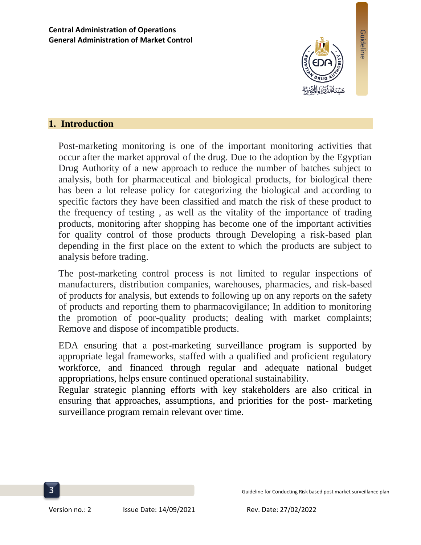

Guideline

## **1. Introduction**

Post-marketing monitoring is one of the important monitoring activities that occur after the market approval of the drug. Due to the adoption by the Egyptian Drug Authority of a new approach to reduce the number of batches subject to analysis, both for pharmaceutical and biological products, for biological there has been a lot release policy for categorizing the biological and according to specific factors they have been classified and match the risk of these product to the frequency of testing , as well as the vitality of the importance of trading products, monitoring after shopping has become one of the important activities for quality control of those products through Developing a risk-based plan depending in the first place on the extent to which the products are subject to analysis before trading.

The post-marketing control process is not limited to regular inspections of manufacturers, distribution companies, warehouses, pharmacies, and risk-based of products for analysis, but extends to following up on any reports on the safety of products and reporting them to pharmacovigilance; In addition to monitoring the promotion of poor-quality products; dealing with market complaints; Remove and dispose of incompatible products.

EDA ensuring that a post-marketing surveillance program is supported by appropriate legal frameworks, staffed with a qualified and proficient regulatory workforce, and financed through regular and adequate national budget appropriations, helps ensure continued operational sustainability.

Regular strategic planning efforts with key stakeholders are also critical in ensuring that approaches, assumptions, and priorities for the post- marketing surveillance program remain relevant over time.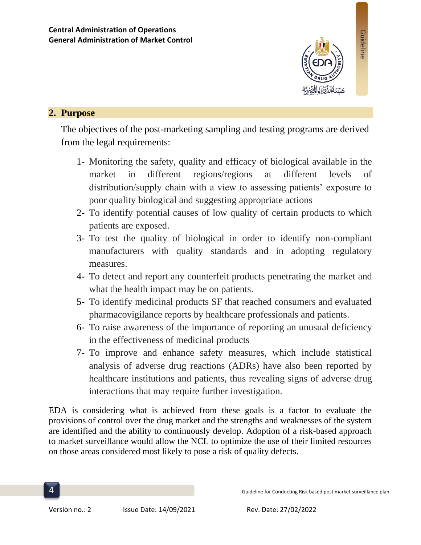

# **2. Purpose**

The objectives of the post-marketing sampling and testing programs are derived from the legal requirements:

- 1- Monitoring the safety, quality and efficacy of biological available in the market in different regions/regions at different levels of distribution/supply chain with a view to assessing patients' exposure to poor quality biological and suggesting appropriate actions
- 2- To identify potential causes of low quality of certain products to which patients are exposed.
- 3- To test the quality of biological in order to identify non-compliant manufacturers with quality standards and in adopting regulatory measures.
- 4- To detect and report any counterfeit products penetrating the market and what the health impact may be on patients.
- 5- To identify medicinal products SF that reached consumers and evaluated pharmacovigilance reports by healthcare professionals and patients.
- 6- To raise awareness of the importance of reporting an unusual deficiency in the effectiveness of medicinal products
- 7- To improve and enhance safety measures, which include statistical analysis of adverse drug reactions (ADRs) have also been reported by healthcare institutions and patients, thus revealing signs of adverse drug interactions that may require further investigation.

EDA is considering what is achieved from these goals is a factor to evaluate the provisions of control over the drug market and the strengths and weaknesses of the system are identified and the ability to continuously develop. Adoption of a risk-based approach to market surveillance would allow the NCL to optimize the use of their limited resources on those areas considered most likely to pose a risk of quality defects.

Guideline for Conducting Risk based post market surveillance plan

Version no.: 2 Issue Date: 14/09/2021 Rev. Date: 27/02/2022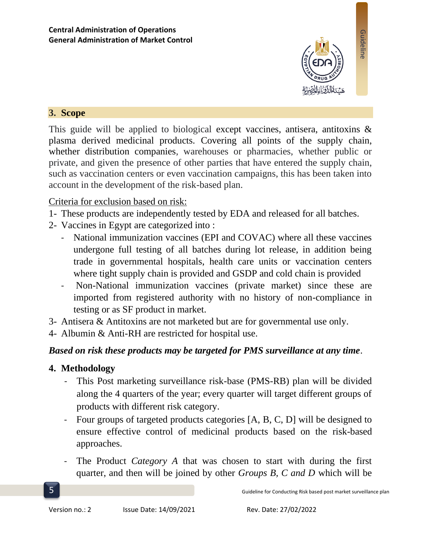

Guideline

## **3. Scope**

This guide will be applied to biological except vaccines, antisera, antitoxins & plasma derived medicinal products. Covering all points of the supply chain, whether distribution companies, warehouses or pharmacies, whether public or private, and given the presence of other parties that have entered the supply chain, such as vaccination centers or even vaccination campaigns, this has been taken into account in the development of the risk-based plan.

## Criteria for exclusion based on risk:

- 1- These products are independently tested by EDA and released for all batches.
- 2- Vaccines in Egypt are categorized into :
	- National immunization vaccines (EPI and COVAC) where all these vaccines undergone full testing of all batches during lot release, in addition being trade in governmental hospitals, health care units or vaccination centers where tight supply chain is provided and GSDP and cold chain is provided
	- Non-National immunization vaccines (private market) since these are imported from registered authority with no history of non-compliance in testing or as SF product in market.
- 3- Antisera & Antitoxins are not marketed but are for governmental use only.
- 4- Albumin & Anti-RH are restricted for hospital use.

# *Based on risk these products may be targeted for PMS surveillance at any time*.

# **4. Methodology**

- This Post marketing surveillance risk-base (PMS-RB) plan will be divided along the 4 quarters of the year; every quarter will target different groups of products with different risk category.
- Four groups of targeted products categories [A, B, C, D] will be designed to ensure effective control of medicinal products based on the risk-based approaches.
- The Product *Category A* that was chosen to start with during the first quarter, and then will be joined by other *Groups B, C and D* which will be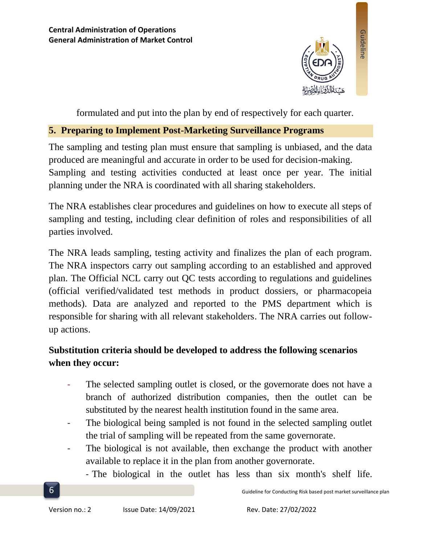

formulated and put into the plan by end of respectively for each quarter.

## **5. Preparing to Implement Post-Marketing Surveillance Programs**

The sampling and testing plan must ensure that sampling is unbiased, and the data produced are meaningful and accurate in order to be used for decision-making. Sampling and testing activities conducted at least once per year. The initial planning under the NRA is coordinated with all sharing stakeholders.

The NRA establishes clear procedures and guidelines on how to execute all steps of sampling and testing, including clear definition of roles and responsibilities of all parties involved.

The NRA leads sampling, testing activity and finalizes the plan of each program. The NRA inspectors carry out sampling according to an established and approved plan. The Official NCL carry out QC tests according to regulations and guidelines (official verified/validated test methods in product dossiers, or pharmacopeia methods). Data are analyzed and reported to the PMS department which is responsible for sharing with all relevant stakeholders. The NRA carries out followup actions.

# **Substitution criteria should be developed to address the following scenarios when they occur:**

- The selected sampling outlet is closed, or the governorate does not have a branch of authorized distribution companies, then the outlet can be substituted by the nearest health institution found in the same area.
- The biological being sampled is not found in the selected sampling outlet the trial of sampling will be repeated from the same governorate.
- The biological is not available, then exchange the product with another available to replace it in the plan from another governorate.

- The biological in the outlet has less than six month's shelf life.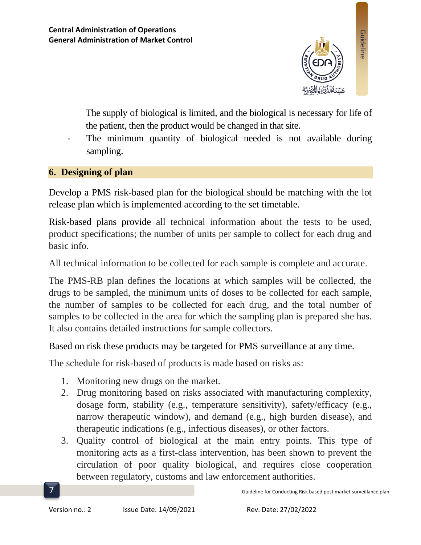

The supply of biological is limited, and the biological is necessary for life of the patient, then the product would be changed in that site.

The minimum quantity of biological needed is not available during sampling.

## **6. Designing of plan**

Develop a PMS risk-based plan for the biological should be matching with the lot release plan which is implemented according to the set timetable.

Risk-based plans provide all technical information about the tests to be used, product specifications; the number of units per sample to collect for each drug and basic info.

All technical information to be collected for each sample is complete and accurate.

The PMS-RB plan defines the locations at which samples will be collected, the drugs to be sampled, the minimum units of doses to be collected for each sample, the number of samples to be collected for each drug, and the total number of samples to be collected in the area for which the sampling plan is prepared she has. It also contains detailed instructions for sample collectors.

Based on risk these products may be targeted for PMS surveillance at any time.

The schedule for risk-based of products is made based on risks as:

- 1. Monitoring new drugs on the market.
- 2. Drug monitoring based on risks associated with manufacturing complexity, dosage form, stability (e.g., temperature sensitivity), safety/efficacy (e.g., narrow therapeutic window), and demand (e.g., high burden disease), and therapeutic indications (e.g., infectious diseases), or other factors.
- 3. Quality control of biological at the main entry points. This type of monitoring acts as a first-class intervention, has been shown to prevent the circulation of poor quality biological, and requires close cooperation between regulatory, customs and law enforcement authorities.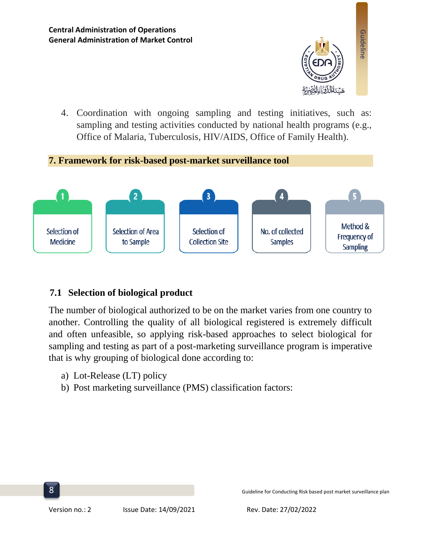

4. Coordination with ongoing sampling and testing initiatives, such as: sampling and testing activities conducted by national health programs (e.g., Office of Malaria, Tuberculosis, HIV/AIDS, Office of Family Health).

## **7. Framework for risk-based post-market surveillance tool**



# **7.1 Selection of biological product**

The number of biological authorized to be on the market varies from one country to another. Controlling the quality of all biological registered is extremely difficult and often unfeasible, so applying risk-based approaches to select biological for sampling and testing as part of a post-marketing surveillance program is imperative that is why grouping of biological done according to:

- a) Lot-Release (LT) policy
- b) Post marketing surveillance (PMS) classification factors: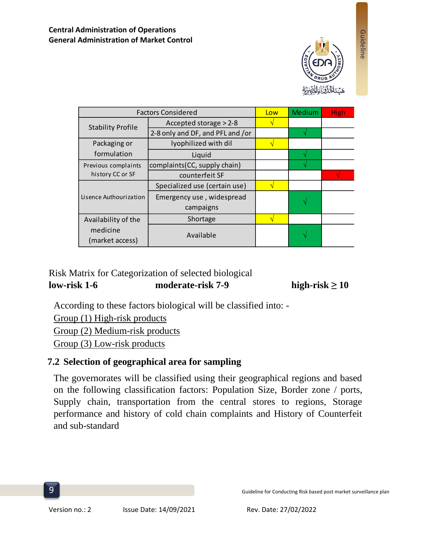

Guideline

| <b>Factors Considered</b>   | Low                              | Medium | <b>High</b> |  |
|-----------------------------|----------------------------------|--------|-------------|--|
| <b>Stability Profile</b>    | Accepted storage > 2-8           |        |             |  |
|                             | 2-8 only and DF, and PFL and /or |        |             |  |
| Packaging or                | lyophilized with dil             |        |             |  |
| formulation                 | Liquid                           |        |             |  |
| Previous complaints         | complaints (CC, supply chain)    |        |             |  |
| history CC or SF            | counterfeit SF                   |        |             |  |
|                             | Specialized use (certain use)    |        |             |  |
| Lisence Authourization      | Emergency use, widespread        |        |             |  |
|                             | campaigns                        |        |             |  |
| Availability of the         | Shortage                         |        |             |  |
| medicine<br>(market access) | Available                        |        |             |  |

## Risk Matrix for Categorization of selected biological  $low-risk 1-6$  moderate-risk 7-9 high-risk  $\geq 10$

According to these factors biological will be classified into: -

Group (1) High-risk products Group (2) Medium-risk products Group (3) Low-risk products

# **7.2 Selection of geographical area for sampling**

The governorates will be classified using their geographical regions and based on the following classification factors:Population Size, Border zone / ports, Supply chain, transportation from the central stores to regions, Storage performance and history of cold chain complaints and History of Counterfeit and sub-standard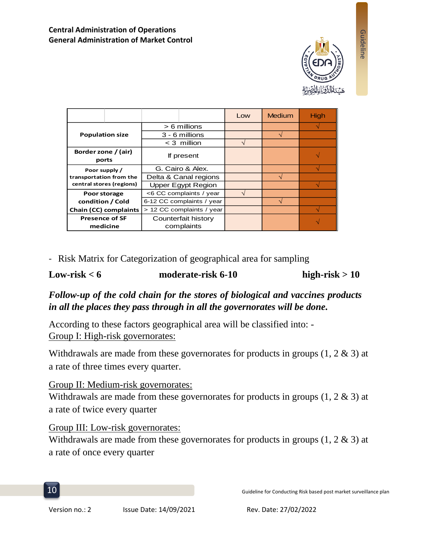

|                                                                      |  |                           |                       | Low | Medium | High |
|----------------------------------------------------------------------|--|---------------------------|-----------------------|-----|--------|------|
| <b>Population size</b>                                               |  | $> 6$ millions            |                       |     |        |      |
|                                                                      |  | 3 - 6 millions            |                       |     |        |      |
|                                                                      |  | $<$ 3 million             |                       | ٦   |        |      |
| Border zone / (air)<br>ports                                         |  | If present                |                       |     |        |      |
|                                                                      |  |                           |                       |     |        |      |
| Poor supply /<br>transportation from the<br>central stores (regions) |  | G. Cairo & Alex.          |                       |     |        |      |
|                                                                      |  |                           | Delta & Canal regions |     |        |      |
|                                                                      |  |                           | Upper Egypt Region    |     |        |      |
| Poor storage                                                         |  | <6 CC complaints / year   |                       |     |        |      |
| condition / Cold                                                     |  | 6-12 CC complaints / year |                       |     |        |      |
| Chain (CC) complaints                                                |  | > 12 CC complaints / year |                       |     |        |      |
| <b>Presence of SF</b>                                                |  | Counterfait history       |                       |     |        |      |
| medicine                                                             |  |                           | complaints            |     |        |      |

- Risk Matrix for Categorization of geographical area for sampling

### **Low-risk < 6 moderate-risk 6-10 high-risk > 10**

*Follow-up of the cold chain for the stores of biological and vaccines products in all the places they pass through in all the governorates will be done.*

According to these factors geographical area will be classified into: - Group I: High-risk governorates:

Withdrawals are made from these governorates for products in groups  $(1, 2 \& 3)$  at a rate of three times every quarter.

## Group II: Medium-risk governorates:

Withdrawals are made from these governorates for products in groups  $(1, 2 \& 3)$  at a rate of twice every quarter

## Group III: Low-risk governorates:

Withdrawals are made from these governorates for products in groups  $(1, 2 \& 3)$  at a rate of once every quarter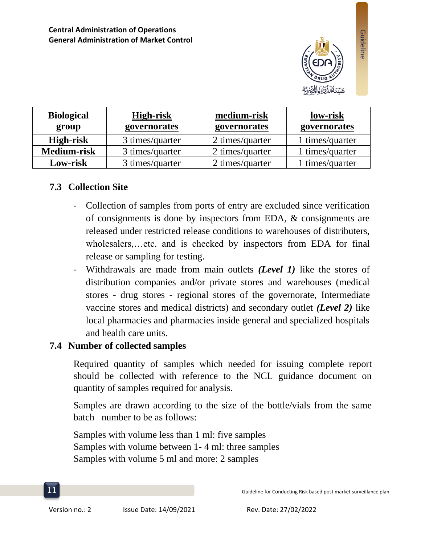

| <b>Biological</b><br>group | High-risk<br>governorates | medium-risk<br>governorates | low-risk<br>governorates |
|----------------------------|---------------------------|-----------------------------|--------------------------|
| High-risk                  | 3 times/quarter           | 2 times/quarter             | 1 times/quarter          |
| <b>Medium-risk</b>         | 3 times/quarter           | 2 times/quarter             | 1 times/quarter          |
| Low-risk                   | 3 times/quarter           | 2 times/quarter             | 1 times/quarter          |

## **7.3 Collection Site**

- Collection of samples from ports of entry are excluded since verification of consignments is done by inspectors from EDA, & consignments are released under restricted release conditions to warehouses of distributers, wholesalers,…etc. and is checked by inspectors from EDA for final release or sampling for testing.
- Withdrawals are made from main outlets *(Level 1)* like the stores of distribution companies and/or private stores and warehouses (medical stores - drug stores - regional stores of the governorate, Intermediate vaccine stores and medical districts) and secondary outlet *(Level 2)* like local pharmacies and pharmacies inside general and specialized hospitals and health care units.

## **7.4 Number of collected samples**

Required quantity of samples which needed for issuing complete report should be collected with reference to the NCL guidance document on quantity of samples required for analysis.

Samples are drawn according to the size of the bottle/vials from the same batch number to be as follows:

Samples with volume less than 1 ml: five samples Samples with volume between 1- 4 ml: three samples Samples with volume 5 ml and more: 2 samples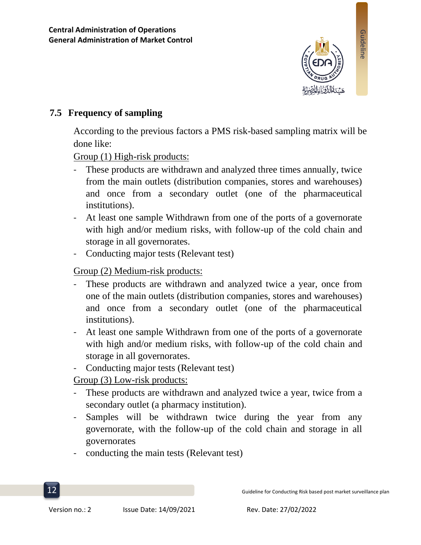

# **7.5 Frequency of sampling**

According to the previous factors a PMS risk-based sampling matrix will be done like:

Group (1) High-risk products:

- These products are withdrawn and analyzed three times annually, twice from the main outlets (distribution companies, stores and warehouses) and once from a secondary outlet (one of the pharmaceutical institutions).
- At least one sample Withdrawn from one of the ports of a governorate with high and/or medium risks, with follow-up of the cold chain and storage in all governorates.
- Conducting major tests (Relevant test)

Group (2) Medium-risk products:

- These products are withdrawn and analyzed twice a year, once from one of the main outlets (distribution companies, stores and warehouses) and once from a secondary outlet (one of the pharmaceutical institutions).
- At least one sample Withdrawn from one of the ports of a governorate with high and/or medium risks, with follow-up of the cold chain and storage in all governorates.
- Conducting major tests (Relevant test)

Group (3) Low-risk products:

- These products are withdrawn and analyzed twice a year, twice from a secondary outlet (a pharmacy institution).
- Samples will be withdrawn twice during the year from any governorate, with the follow-up of the cold chain and storage in all governorates
- conducting the main tests (Relevant test)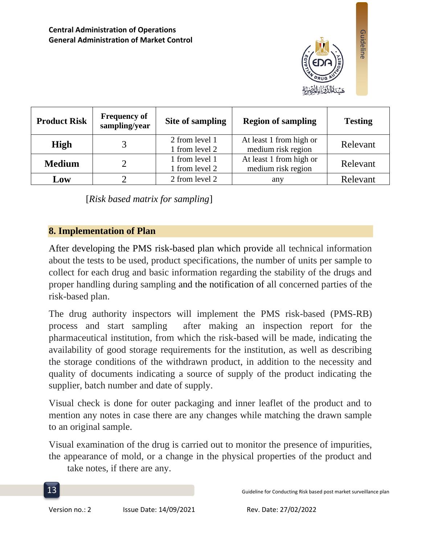

Guideline

| <b>Product Risk</b> | <b>Frequency of</b><br>sampling/year | Site of sampling                 | <b>Region of sampling</b>                     | <b>Testing</b> |
|---------------------|--------------------------------------|----------------------------------|-----------------------------------------------|----------------|
| High                |                                      | 2 from level 1<br>1 from level 2 | At least 1 from high or<br>medium risk region | Relevant       |
| <b>Medium</b>       |                                      | 1 from level 1<br>1 from level 2 | At least 1 from high or<br>medium risk region | Relevant       |
| Low                 |                                      | 2 from level 2                   | any                                           | Relevant       |

[*Risk based matrix for sampling*]

## **8. Implementation of Plan**

After developing the PMS risk-based plan which provide all technical information about the tests to be used, product specifications, the number of units per sample to collect for each drug and basic information regarding the stability of the drugs and proper handling during sampling and the notification of all concerned parties of the risk-based plan.

The drug authority inspectors will implement the PMS risk-based (PMS-RB) process and start sampling after making an inspection report for the pharmaceutical institution, from which the risk-based will be made, indicating the availability of good storage requirements for the institution, as well as describing the storage conditions of the withdrawn product, in addition to the necessity and quality of documents indicating a source of supply of the product indicating the supplier, batch number and date of supply.

Visual check is done for outer packaging and inner leaflet of the product and to mention any notes in case there are any changes while matching the drawn sample to an original sample.

Visual examination of the drug is carried out to monitor the presence of impurities, the appearance of mold, or a change in the physical properties of the product and

take notes, if there are any.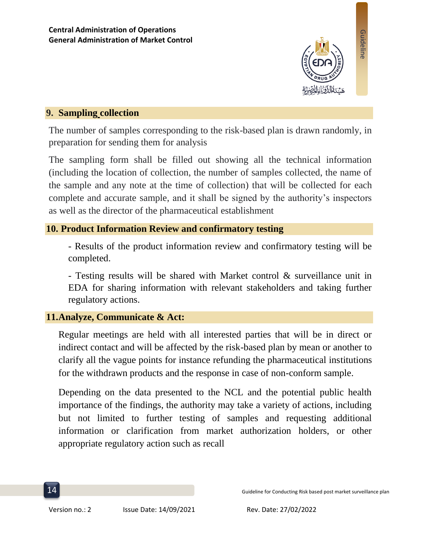

## **9. Sampling collection**

The number of samples corresponding to the risk-based plan is drawn randomly, in preparation for sending them for analysis

The sampling form shall be filled out showing all the technical information (including the location of collection, the number of samples collected, the name of the sample and any note at the time of collection) that will be collected for each complete and accurate sample, and it shall be signed by the authority's inspectors as well as the director of the pharmaceutical establishment

## **10. Product Information Review and confirmatory testing**

- Results of the product information review and confirmatory testing will be completed.

- Testing results will be shared with Market control & surveillance unit in EDA for sharing information with relevant stakeholders and taking further regulatory actions.

# **11.Analyze, Communicate & Act:**

Regular meetings are held with all interested parties that will be in direct or indirect contact and will be affected by the risk-based plan by mean or another to clarify all the vague points for instance refunding the pharmaceutical institutions for the withdrawn products and the response in case of non-conform sample.

Depending on the data presented to the NCL and the potential public health importance of the findings, the authority may take a variety of actions, including but not limited to further testing of samples and requesting additional information or clarification from market authorization holders, or other appropriate regulatory action such as recall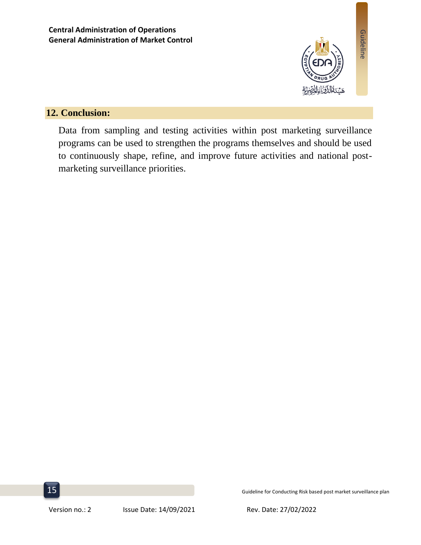

# **12. Conclusion:**

Data from sampling and testing activities within post marketing surveillance programs can be used to strengthen the programs themselves and should be used to continuously shape, refine, and improve future activities and national postmarketing surveillance priorities.